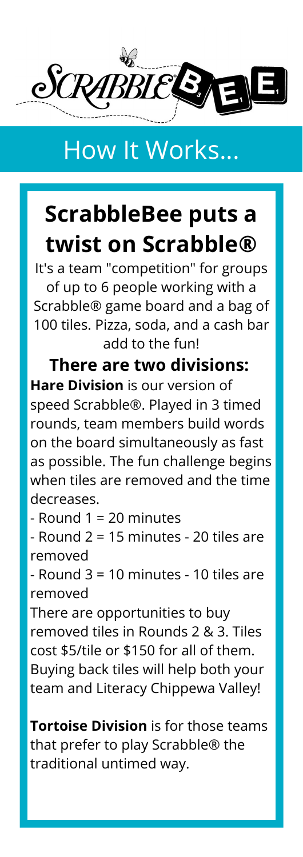

## How It Works...

## **ScrabbleBee puts a twist on Scrabble®**

It's a team "competition" for groups of up to 6 people working with a Scrabble® game board and a bag of 100 tiles. Pizza, soda, and a cash bar add to the fun!

**There are two divisions: Hare Division** is our version of speed Scrabble®. Played in 3 timed rounds, team members build words on the board simultaneously as fast as possible. The fun challenge begins when tiles are removed and the time decreases.

- Round 1 = 20 minutes

- Round 2 = 15 minutes - 20 tiles are removed

- Round 3 = 10 minutes - 10 tiles are removed

There are opportunities to buy removed tiles in Rounds 2 & 3. Tiles cost \$5/tile or \$150 for all of them. Buying back tiles will help both your team and Literacy Chippewa Valley!

**Tortoise Division** is for those teams that prefer to play Scrabble® the traditional untimed way.